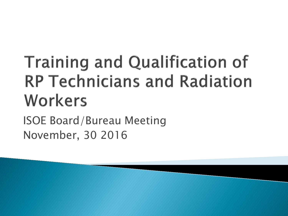# **Training and Qualification of RP Technicians and Radiation** Workers

ISOE Board/Bureau Meeting November, 30 2016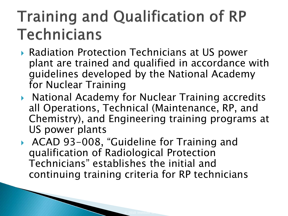- ▶ Radiation Protection Technicians at US power plant are trained and qualified in accordance with guidelines developed by the National Academy for Nuclear Training
- **National Academy for Nuclear Training accredits** all Operations, Technical (Maintenance, RP, and Chemistry), and Engineering training programs at US power plants
- ▶ ACAD 93-008, "Guideline for Training and qualification of Radiological Protection Technicians" establishes the initial and continuing training criteria for RP technicians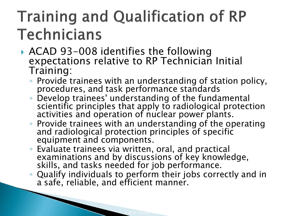- ACAD 93-008 identifies the following expectations relative to RP Technician Initial Training:
	- Provide trainees with an understanding of station policy, procedures, and task performance standards
	- Develop trainees' understanding of the fundamental scientific principles that apply to radiological protection activities and operation of nuclear power plants.
	- Provide trainees with an understanding of the operating and radiological protection principles of specific equipment and components.
	- Evaluate trainees via written, oral, and practical examinations and by discussions of key knowledge, skills, and tasks needed for job performance.
	- Qualify individuals to perform their jobs correctly and in a safe, reliable, and efficient manner.

and the contract of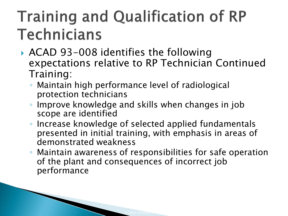- ▶ ACAD 93-008 identifies the following expectations relative to RP Technician Continued Training:
	- Maintain high performance level of radiological protection technicians
	- Improve knowledge and skills when changes in job scope are identified
	- Increase knowledge of selected applied fundamentals presented in initial training, with emphasis in areas of demonstrated weakness
	- Maintain awareness of responsibilities for safe operation of the plant and consequences of incorrect job performance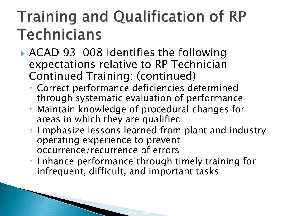- ▶ ACAD 93-008 identifies the following expectations relative to RP Technician Continued Training: (continued)
	- Correct performance deficiencies determined through systematic evaluation of performance
	- Maintain knowledge of procedural changes for areas in which they are qualified
	- Emphasize lessons learned from plant and industry operating experience to prevent occurrence/recurrence of errors
	- Enhance performance through timely training for infrequent, difficult, and important tasks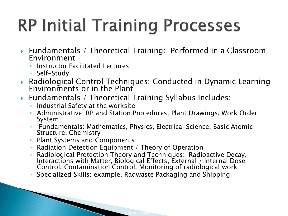# **RP Initial Training Processes**

- Fundamentals / Theoretical Training: Performed in a Classroom Environment
	- Instructor Facilitated Lectures
	- Self-Study
- Radiological Control Techniques: Conducted in Dynamic Learning Environments or in the Plant
- Fundamentals / Theoretical Training Syllabus Includes:
	- Industrial Safety at the worksite
	- Administrative: RP and Station Procedures, Plant Drawings, Work Order System
	- Fundamentals: Mathematics, Physics, Electrical Science, Basic Atomic Structure, Chemistry
	- Plant Systems and Components

and the same of the contract of

- Radiation Detection Equipment / Theory of Operation
- Radiological Protection Theory and Techniques: Radioactive Decay, Interactions with Matter, Biological Effects, External / Internal Dose Control, Contamination Control, Monitoring of radiological work
- Specialized Skills: example, Radwaste Packaging and Shipping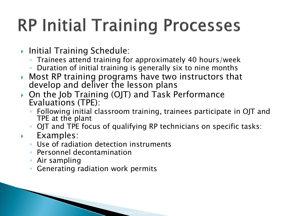### **RP Initial Training Processes**

- **Initial Training Schedule:** 
	- Trainees attend training for approximately 40 hours/week
	- Duration of initial training is generally six to nine months
- Most RP training programs have two instructors that develop and deliver the lesson plans
- ▶ On the Job Training (OJT) and Task Performance Evaluations (TPE):
	- Following initial classroom training, trainees participate in OJT and TPE at the plant
- OJT and TPE focus of qualifying RP technicians on specific tasks: **Examples:** 
	- Use of radiation detection instruments
	- Personnel decontamination
	- Air sampling
	- Generating radiation work permits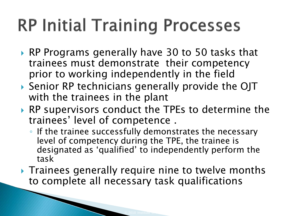### **RP Initial Training Processes**

- ▶ RP Programs generally have 30 to 50 tasks that trainees must demonstrate their competency prior to working independently in the field
- Senior RP technicians generally provide the OJT with the trainees in the plant
- ▶ RP supervisors conduct the TPEs to determine the trainees' level of competence .
	- If the trainee successfully demonstrates the necessary level of competency during the TPE, the trainee is designated as 'qualified' to independently perform the task
- Trainees generally require nine to twelve months to complete all necessary task qualifications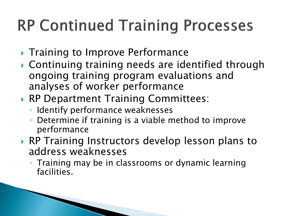#### **RP Continued Training Processes**

- ▶ Training to Improve Performance
- Continuing training needs are identified through ongoing training program evaluations and analyses of worker performance
- ▶ RP Department Training Committees:
	- Identify performance weaknesses
	- Determine if training is a viable method to improve performance
- ▶ RP Training Instructors develop lesson plans to address weaknesses
	- Training may be in classrooms or dynamic learning facilities.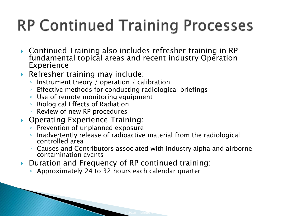#### **RP Continued Training Processes**

- $\blacktriangleright$  Continued Training also includes refresher training in RP  $\blacktriangleright$ fundamental topical areas and recent industry Operation Experience
- Refresher training may include:
	- Instrument theory / operation / calibration
	- Effective methods for conducting radiological briefings
	- Use of remote monitoring equipment
	- Biological Effects of Radiation
	- Review of new RP procedures
- ▶ Operating Experience Training:
	- Prevention of unplanned exposure
	- Inadvertently release of radioactive material from the radiological controlled area
	- Causes and Contributors associated with industry alpha and airborne contamination events
- ▶ Duration and Frequency of RP continued training:
	- Approximately 24 to 32 hours each calendar quarter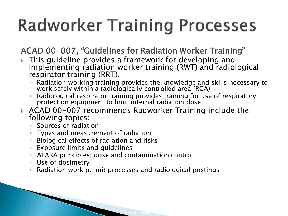## **Radworker Training Processes**

ACAD 00-007, "Guidelines for Radiation Worker Training"

- **This guideline provides a framework for developing and** implementing radiation worker training (RWT) and radiological respirator training (RRT).
	- Radiation working training provides the knowledge and skills necessary to work safely within a radiologically controlled area (RCA)
	- Radiological respirator training provides training for use of respiratory protection equipment to limit internal radiation dose
- ACAD 00-007 recommends Radworker Training include the following topics:
	- Sources of radiation
	- Types and measurement of radiation
	- Biological effects of radiation and risks
	- Exposure limits and guidelines
	- ALARA principles; dose and contamination control
	- Use of dosimetry
	- Radiation work permit processes and radiological postings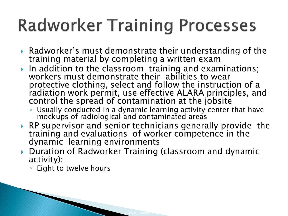### **Radworker Training Processes**

- Radworker's must demonstrate their understanding of the training material by completing a written exam
- In addition to the classroom training and examinations; workers must demonstrate their abilities to wear protective clothing, select and follow the instruction of a radiation work permit, use effective ALARA principles, and control the spread of contamination at the jobsite
	- Usually conducted in a dynamic learning activity center that have mockups of radiological and contaminated areas
- ▶ RP supervisor and senior technicians generally provide the training and evaluations of worker competence in the dynamic learning environments
- Duration of Radworker Training (classroom and dynamic activity):
	- Eight to twelve hours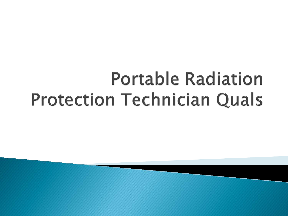## **Portable Radiation Protection Technician Quals**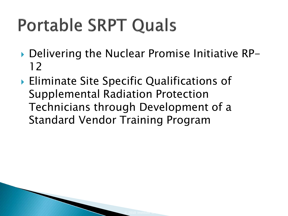# **Portable SRPT Quals**

- ▶ Delivering the Nuclear Promise Initiative RP-12
- ▶ Eliminate Site Specific Qualifications of Supplemental Radiation Protection Technicians through Development of a Standard Vendor Training Program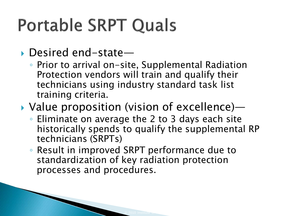## **Portable SRPT Quals**

#### ▶ Desired end-state—

◦ Prior to arrival on-site, Supplemental Radiation Protection vendors will train and qualify their technicians using industry standard task list training criteria.

#### Value proposition (vision of excellence)—

- Eliminate on average the 2 to 3 days each site historically spends to qualify the supplemental RP technicians (SRPTs)
- Result in improved SRPT performance due to standardization of key radiation protection processes and procedures.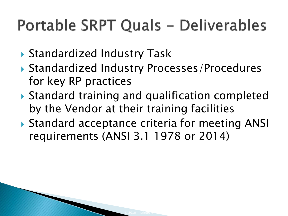#### Portable SRPT Quals - Deliverables

- ▶ Standardized Industry Task
- ▶ Standardized Industry Processes/Procedures for key RP practices
- ▶ Standard training and qualification completed by the Vendor at their training facilities
- ▶ Standard acceptance criteria for meeting ANSI requirements (ANSI 3.1 1978 or 2014)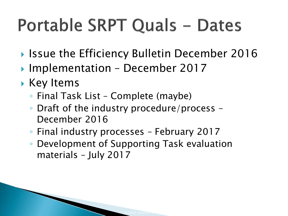# Portable SRPT Quals - Dates

- ▶ Issue the Efficiency Bulletin December 2016
- ▶ Implementation December 2017
- Key Items
	- Final Task List Complete (maybe)
	- Draft of the industry procedure/process December 2016
	- Final industry processes February 2017
	- Development of Supporting Task evaluation materials – July 2017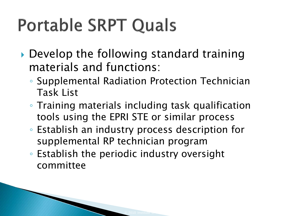# **Portable SRPT Quals**

- ▶ Develop the following standard training materials and functions:
	- Supplemental Radiation Protection Technician Task List
	- Training materials including task qualification tools using the EPRI STE or similar process
	- Establish an industry process description for supplemental RP technician program
	- Establish the periodic industry oversight committee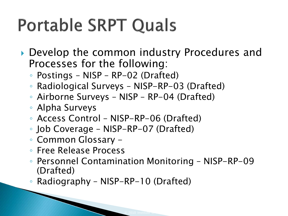# **Portable SRPT Quals**

- ▶ Develop the common industry Procedures and Processes for the following:
	- Postings NISP RP-02 (Drafted)
	- Radiological Surveys NISP-RP-03 (Drafted)
	- Airborne Surveys NISP RP-04 (Drafted)
	- Alpha Surveys
	- Access Control NISP-RP-06 (Drafted)
	- Job Coverage NISP-RP-07 (Drafted)
	- Common Glossary -
	- Free Release Process
	- Personnel Contamination Monitoring NISP-RP-09 (Drafted)
	- Radiography NISP-RP-10 (Drafted)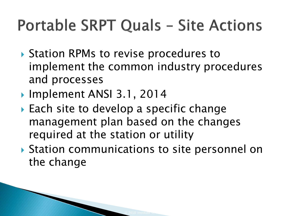#### **Portable SRPT Quals - Site Actions**

- ▶ Station RPMs to revise procedures to implement the common industry procedures and processes
- ▶ Implement ANSI 3.1, 2014
- ▶ Each site to develop a specific change management plan based on the changes required at the station or utility
- ▶ Station communications to site personnel on the change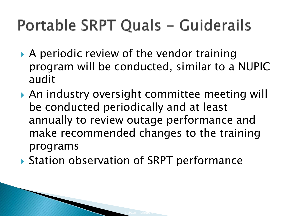#### Portable SRPT Quals - Guiderails

- A periodic review of the vendor training program will be conducted, similar to a NUPIC audit
- An industry oversight committee meeting will be conducted periodically and at least annually to review outage performance and make recommended changes to the training programs
- ▶ Station observation of SRPT performance